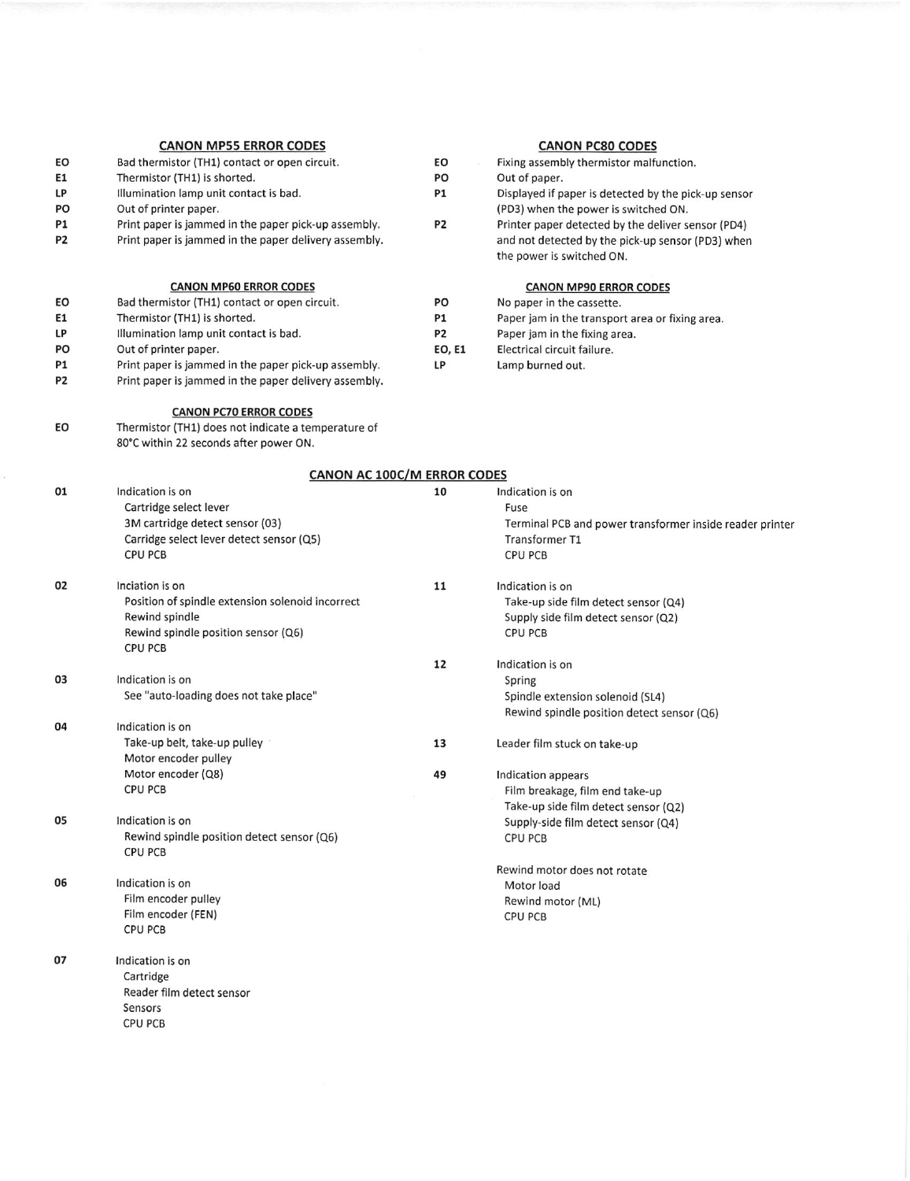| EO<br>E1<br>LP<br>PO<br>P1<br>P2<br>EO<br>E1<br>LP<br>PO<br>P1 | <b>CANON MP55 ERROR CODES</b><br>Bad thermistor (TH1) contact or open circuit.<br>Thermistor (TH1) is shorted.<br>Illumination lamp unit contact is bad.<br>Out of printer paper.<br>Print paper is jammed in the paper pick-up assembly.<br>Print paper is jammed in the paper delivery assembly.<br><b>CANON MP60 ERROR CODES</b><br>Bad thermistor (TH1) contact or open circuit.<br>Thermistor (TH1) is shorted.<br>Illumination lamp unit contact is bad.<br>Out of printer paper.<br>Print paper is jammed in the paper pick-up assembly. | EO<br>PO<br><b>P1</b><br>P <sub>2</sub><br>PO<br><b>P1</b><br>P <sub>2</sub><br>EO, E1<br>LP | <b>CANON PC80 CODES</b><br>Fixing assembly thermistor malfunction.<br>Out of paper.<br>Displayed if paper is detected by the pick-up sensor<br>(PD3) when the power is switched ON.<br>Printer paper detected by the deliver sensor (PD4)<br>and not detected by the pick-up sensor (PD3) when<br>the power is switched ON.<br><b>CANON MP90 ERROR CODES</b><br>No paper in the cassette.<br>Paper jam in the transport area or fixing area.<br>Paper jam in the fixing area.<br>Electrical circuit failure.<br>Lamp burned out. |
|----------------------------------------------------------------|-------------------------------------------------------------------------------------------------------------------------------------------------------------------------------------------------------------------------------------------------------------------------------------------------------------------------------------------------------------------------------------------------------------------------------------------------------------------------------------------------------------------------------------------------|----------------------------------------------------------------------------------------------|----------------------------------------------------------------------------------------------------------------------------------------------------------------------------------------------------------------------------------------------------------------------------------------------------------------------------------------------------------------------------------------------------------------------------------------------------------------------------------------------------------------------------------|
| P2                                                             | Print paper is jammed in the paper delivery assembly.                                                                                                                                                                                                                                                                                                                                                                                                                                                                                           |                                                                                              |                                                                                                                                                                                                                                                                                                                                                                                                                                                                                                                                  |
| EO                                                             | <b>CANON PC70 ERROR CODES</b><br>Thermistor (TH1) does not indicate a temperature of<br>80°C within 22 seconds after power ON.                                                                                                                                                                                                                                                                                                                                                                                                                  |                                                                                              |                                                                                                                                                                                                                                                                                                                                                                                                                                                                                                                                  |
|                                                                | CANON AC 100C/M ERROR CODES                                                                                                                                                                                                                                                                                                                                                                                                                                                                                                                     |                                                                                              |                                                                                                                                                                                                                                                                                                                                                                                                                                                                                                                                  |
| 01                                                             | Indication is on<br>Cartridge select lever<br>3M cartridge detect sensor (03)<br>Carridge select lever detect sensor (Q5)<br><b>CPU PCB</b>                                                                                                                                                                                                                                                                                                                                                                                                     | 10                                                                                           | Indication is on<br>Fuse<br>Terminal PCB and power transformer inside reader printer<br>Transformer T1<br><b>CPU PCB</b>                                                                                                                                                                                                                                                                                                                                                                                                         |
| 02                                                             | Inciation is on<br>Position of spindle extension solenoid incorrect<br>Rewind spindle<br>Rewind spindle position sensor (Q6)<br><b>CPU PCB</b>                                                                                                                                                                                                                                                                                                                                                                                                  | 11                                                                                           | Indication is on<br>Take-up side film detect sensor (Q4)<br>Supply side film detect sensor (Q2)<br><b>CPU PCB</b>                                                                                                                                                                                                                                                                                                                                                                                                                |
| 03                                                             | Indication is on                                                                                                                                                                                                                                                                                                                                                                                                                                                                                                                                | 12                                                                                           | Indication is on<br>Spring                                                                                                                                                                                                                                                                                                                                                                                                                                                                                                       |
|                                                                | See "auto-loading does not take place"                                                                                                                                                                                                                                                                                                                                                                                                                                                                                                          |                                                                                              | Spindle extension solenoid (SL4)<br>Rewind spindle position detect sensor (Q6)                                                                                                                                                                                                                                                                                                                                                                                                                                                   |
| 04                                                             | Indication is on<br>Take-up belt, take-up pulley<br>Motor encoder pulley<br>Motor encoder (Q8)<br><b>CPU PCB</b>                                                                                                                                                                                                                                                                                                                                                                                                                                | 13<br>49                                                                                     | Leader film stuck on take-up<br>Indication appears<br>Film breakage, film end take-up                                                                                                                                                                                                                                                                                                                                                                                                                                            |
| 05                                                             | Indication is on<br>Rewind spindle position detect sensor (Q6)<br><b>CPU PCB</b>                                                                                                                                                                                                                                                                                                                                                                                                                                                                |                                                                                              | Take-up side film detect sensor (Q2)<br>Supply-side film detect sensor (Q4)<br><b>CPU PCB</b>                                                                                                                                                                                                                                                                                                                                                                                                                                    |
| 06                                                             | Indication is on<br>Film encoder pulley<br>Film encoder (FEN)<br><b>CPU PCB</b>                                                                                                                                                                                                                                                                                                                                                                                                                                                                 |                                                                                              | Rewind motor does not rotate<br>Motor load<br>Rewind motor (ML)<br><b>CPU PCB</b>                                                                                                                                                                                                                                                                                                                                                                                                                                                |
| 07                                                             | Indication is on<br>Cartridge<br>Reader film detect sensor<br>Sensors<br><b>CPU PCB</b>                                                                                                                                                                                                                                                                                                                                                                                                                                                         |                                                                                              |                                                                                                                                                                                                                                                                                                                                                                                                                                                                                                                                  |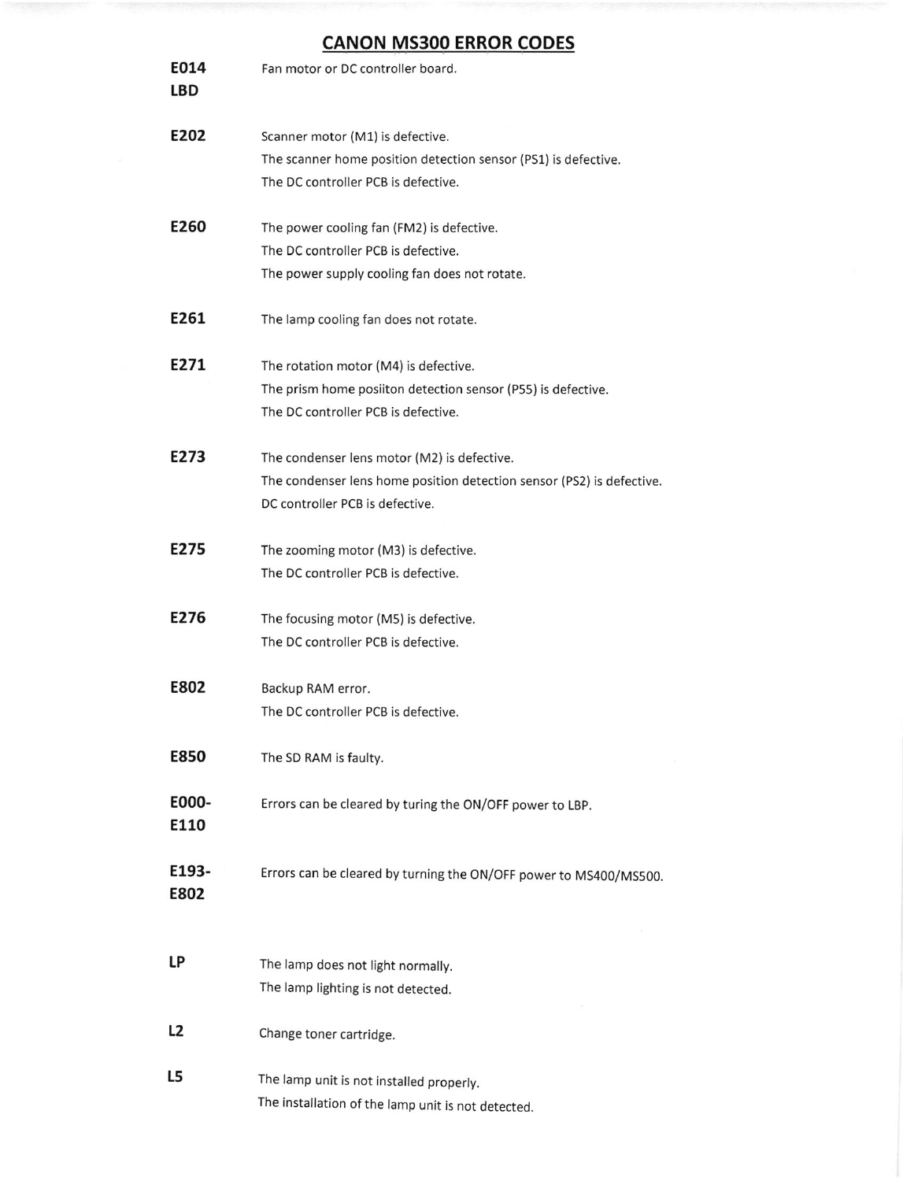# CANON MS3OO ERROR CODES

| E202<br>Scanner motor (M1) is defective.<br>The scanner home position detection sensor (PS1) is defective.<br>The DC controller PCB is defective.<br>E260<br>The power cooling fan (FM2) is defective.<br>The DC controller PCB is defective.<br>The power supply cooling fan does not rotate.<br>E261<br>The lamp cooling fan does not rotate.<br>E271<br>The rotation motor (M4) is defective.<br>The prism home posiiton detection sensor (P55) is defective.<br>The DC controller PCB is defective.<br>E273<br>The condenser lens motor (M2) is defective.<br>The condenser lens home position detection sensor (PS2) is defective.<br>DC controller PCB is defective.<br>E275<br>The zooming motor (M3) is defective.<br>The DC controller PCB is defective.<br>E276<br>The focusing motor (M5) is defective.<br>The DC controller PCB is defective.<br>E802<br>Backup RAM error.<br>The DC controller PCB is defective.<br>E850<br>The SD RAM is faulty. |
|----------------------------------------------------------------------------------------------------------------------------------------------------------------------------------------------------------------------------------------------------------------------------------------------------------------------------------------------------------------------------------------------------------------------------------------------------------------------------------------------------------------------------------------------------------------------------------------------------------------------------------------------------------------------------------------------------------------------------------------------------------------------------------------------------------------------------------------------------------------------------------------------------------------------------------------------------------------|
|                                                                                                                                                                                                                                                                                                                                                                                                                                                                                                                                                                                                                                                                                                                                                                                                                                                                                                                                                                |
|                                                                                                                                                                                                                                                                                                                                                                                                                                                                                                                                                                                                                                                                                                                                                                                                                                                                                                                                                                |
|                                                                                                                                                                                                                                                                                                                                                                                                                                                                                                                                                                                                                                                                                                                                                                                                                                                                                                                                                                |
|                                                                                                                                                                                                                                                                                                                                                                                                                                                                                                                                                                                                                                                                                                                                                                                                                                                                                                                                                                |
|                                                                                                                                                                                                                                                                                                                                                                                                                                                                                                                                                                                                                                                                                                                                                                                                                                                                                                                                                                |
|                                                                                                                                                                                                                                                                                                                                                                                                                                                                                                                                                                                                                                                                                                                                                                                                                                                                                                                                                                |
|                                                                                                                                                                                                                                                                                                                                                                                                                                                                                                                                                                                                                                                                                                                                                                                                                                                                                                                                                                |
|                                                                                                                                                                                                                                                                                                                                                                                                                                                                                                                                                                                                                                                                                                                                                                                                                                                                                                                                                                |
|                                                                                                                                                                                                                                                                                                                                                                                                                                                                                                                                                                                                                                                                                                                                                                                                                                                                                                                                                                |
|                                                                                                                                                                                                                                                                                                                                                                                                                                                                                                                                                                                                                                                                                                                                                                                                                                                                                                                                                                |
|                                                                                                                                                                                                                                                                                                                                                                                                                                                                                                                                                                                                                                                                                                                                                                                                                                                                                                                                                                |
|                                                                                                                                                                                                                                                                                                                                                                                                                                                                                                                                                                                                                                                                                                                                                                                                                                                                                                                                                                |
|                                                                                                                                                                                                                                                                                                                                                                                                                                                                                                                                                                                                                                                                                                                                                                                                                                                                                                                                                                |
|                                                                                                                                                                                                                                                                                                                                                                                                                                                                                                                                                                                                                                                                                                                                                                                                                                                                                                                                                                |
|                                                                                                                                                                                                                                                                                                                                                                                                                                                                                                                                                                                                                                                                                                                                                                                                                                                                                                                                                                |
|                                                                                                                                                                                                                                                                                                                                                                                                                                                                                                                                                                                                                                                                                                                                                                                                                                                                                                                                                                |
|                                                                                                                                                                                                                                                                                                                                                                                                                                                                                                                                                                                                                                                                                                                                                                                                                                                                                                                                                                |
|                                                                                                                                                                                                                                                                                                                                                                                                                                                                                                                                                                                                                                                                                                                                                                                                                                                                                                                                                                |
|                                                                                                                                                                                                                                                                                                                                                                                                                                                                                                                                                                                                                                                                                                                                                                                                                                                                                                                                                                |
|                                                                                                                                                                                                                                                                                                                                                                                                                                                                                                                                                                                                                                                                                                                                                                                                                                                                                                                                                                |
| E000-<br>Errors can be cleared by turing the ON/OFF power to LBP.<br>E110                                                                                                                                                                                                                                                                                                                                                                                                                                                                                                                                                                                                                                                                                                                                                                                                                                                                                      |
| E193-<br>Errors can be cleared by turning the ON/OFF power to MS400/MS500.<br>E802                                                                                                                                                                                                                                                                                                                                                                                                                                                                                                                                                                                                                                                                                                                                                                                                                                                                             |
|                                                                                                                                                                                                                                                                                                                                                                                                                                                                                                                                                                                                                                                                                                                                                                                                                                                                                                                                                                |
| LP<br>The lamp does not light normally.                                                                                                                                                                                                                                                                                                                                                                                                                                                                                                                                                                                                                                                                                                                                                                                                                                                                                                                        |
| The lamp lighting is not detected.                                                                                                                                                                                                                                                                                                                                                                                                                                                                                                                                                                                                                                                                                                                                                                                                                                                                                                                             |
| L <sub>2</sub><br>Change toner cartridge.                                                                                                                                                                                                                                                                                                                                                                                                                                                                                                                                                                                                                                                                                                                                                                                                                                                                                                                      |
| L5<br>The lamp unit is not installed properly.                                                                                                                                                                                                                                                                                                                                                                                                                                                                                                                                                                                                                                                                                                                                                                                                                                                                                                                 |
| The installation of the lamp unit is not detected.                                                                                                                                                                                                                                                                                                                                                                                                                                                                                                                                                                                                                                                                                                                                                                                                                                                                                                             |